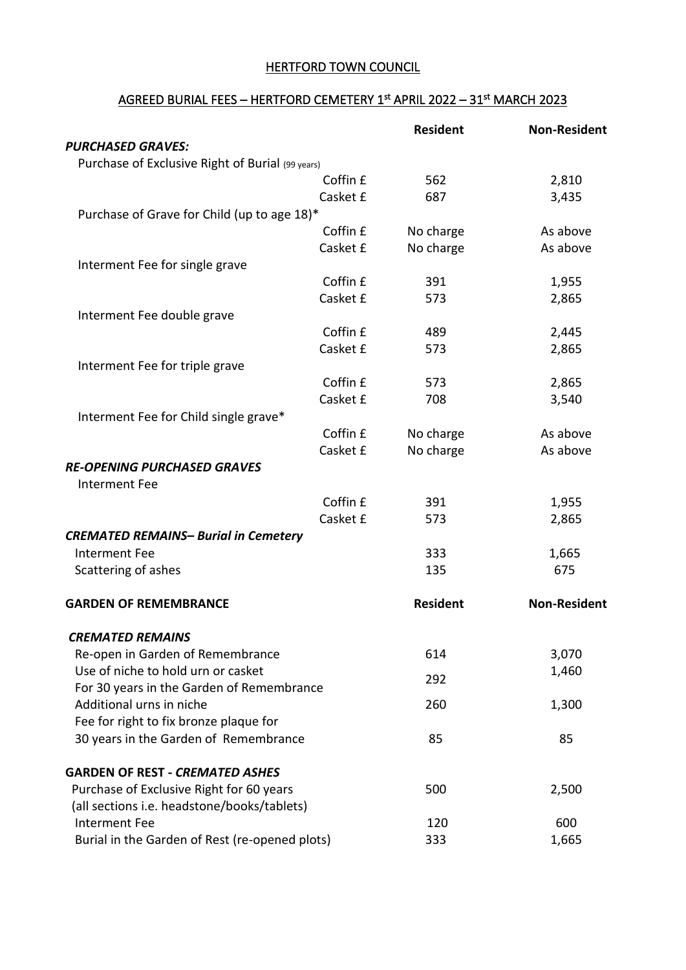## HERTFORD TOWN COUNCIL

## <u>AGREED BURIAL FEES – HERTFORD CEMETERY 1st APRIL 2022 – 31st MARCH 2023</u>

|                                                  | <b>Resident</b> | <b>Non-Resident</b> |
|--------------------------------------------------|-----------------|---------------------|
| <b>PURCHASED GRAVES:</b>                         |                 |                     |
| Purchase of Exclusive Right of Burial (99 years) |                 |                     |
| Coffin £                                         | 562             | 2,810               |
| Casket £                                         | 687             | 3,435               |
| Purchase of Grave for Child (up to age 18)*      |                 |                     |
| Coffin £                                         | No charge       | As above            |
| Casket £<br>Interment Fee for single grave       | No charge       | As above            |
| Coffin £                                         | 391             | 1,955               |
| Casket £                                         | 573             | 2,865               |
| Interment Fee double grave                       |                 |                     |
| Coffin £                                         | 489             | 2,445               |
| Casket £                                         | 573             | 2,865               |
| Interment Fee for triple grave                   |                 |                     |
| Coffin £                                         | 573             | 2,865               |
| Casket £                                         | 708             | 3,540               |
| Interment Fee for Child single grave*            |                 |                     |
| Coffin £                                         | No charge       | As above            |
| Casket £                                         | No charge       | As above            |
| <b>RE-OPENING PURCHASED GRAVES</b>               |                 |                     |
| Interment Fee                                    |                 |                     |
| Coffin £                                         | 391             | 1,955               |
| Casket £                                         | 573             | 2,865               |
| <b>CREMATED REMAINS- Burial in Cemetery</b>      |                 |                     |
| <b>Interment Fee</b>                             | 333             | 1,665               |
| Scattering of ashes                              | 135             | 675                 |
| <b>GARDEN OF REMEMBRANCE</b>                     | <b>Resident</b> | <b>Non-Resident</b> |
| <b>CREMATED REMAINS</b>                          |                 |                     |
| Re-open in Garden of Remembrance                 | 614             | 3,070               |
| Use of niche to hold urn or casket               | 292             | 1,460               |
| For 30 years in the Garden of Remembrance        |                 |                     |
| Additional urns in niche                         | 260             | 1,300               |
| Fee for right to fix bronze plaque for           |                 |                     |
| 30 years in the Garden of Remembrance            | 85              | 85                  |
| <b>GARDEN OF REST - CREMATED ASHES</b>           |                 |                     |
| Purchase of Exclusive Right for 60 years         | 500             | 2,500               |
| (all sections i.e. headstone/books/tablets)      |                 |                     |
| <b>Interment Fee</b>                             | 120             | 600                 |
| Burial in the Garden of Rest (re-opened plots)   | 333             | 1,665               |